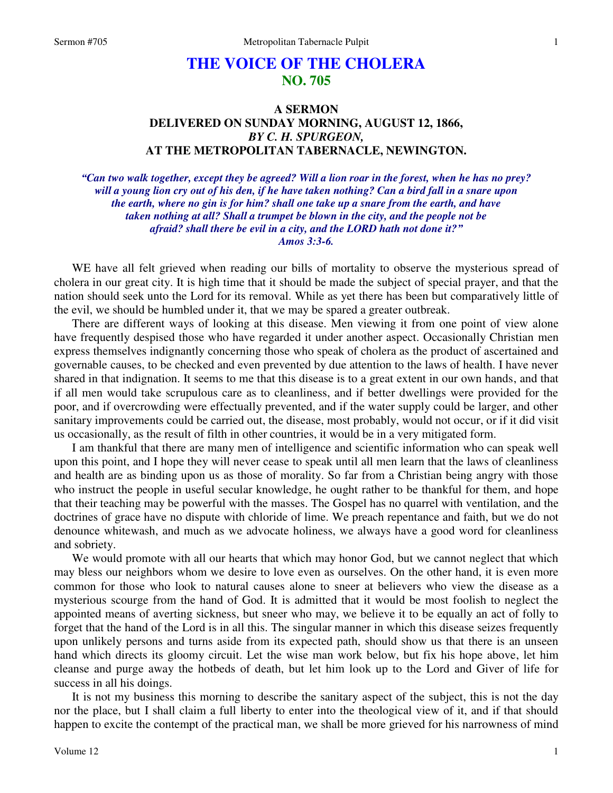## **THE VOICE OF THE CHOLERA NO. 705**

## **A SERMON DELIVERED ON SUNDAY MORNING, AUGUST 12, 1866,**  *BY C. H. SPURGEON,*  **AT THE METROPOLITAN TABERNACLE, NEWINGTON.**

*"Can two walk together, except they be agreed? Will a lion roar in the forest, when he has no prey? will a young lion cry out of his den, if he have taken nothing? Can a bird fall in a snare upon the earth, where no gin is for him? shall one take up a snare from the earth, and have taken nothing at all? Shall a trumpet be blown in the city, and the people not be afraid? shall there be evil in a city, and the LORD hath not done it?" Amos 3:3-6.* 

WE have all felt grieved when reading our bills of mortality to observe the mysterious spread of cholera in our great city. It is high time that it should be made the subject of special prayer, and that the nation should seek unto the Lord for its removal. While as yet there has been but comparatively little of the evil, we should be humbled under it, that we may be spared a greater outbreak.

There are different ways of looking at this disease. Men viewing it from one point of view alone have frequently despised those who have regarded it under another aspect. Occasionally Christian men express themselves indignantly concerning those who speak of cholera as the product of ascertained and governable causes, to be checked and even prevented by due attention to the laws of health. I have never shared in that indignation. It seems to me that this disease is to a great extent in our own hands, and that if all men would take scrupulous care as to cleanliness, and if better dwellings were provided for the poor, and if overcrowding were effectually prevented, and if the water supply could be larger, and other sanitary improvements could be carried out, the disease, most probably, would not occur, or if it did visit us occasionally, as the result of filth in other countries, it would be in a very mitigated form.

I am thankful that there are many men of intelligence and scientific information who can speak well upon this point, and I hope they will never cease to speak until all men learn that the laws of cleanliness and health are as binding upon us as those of morality. So far from a Christian being angry with those who instruct the people in useful secular knowledge, he ought rather to be thankful for them, and hope that their teaching may be powerful with the masses. The Gospel has no quarrel with ventilation, and the doctrines of grace have no dispute with chloride of lime. We preach repentance and faith, but we do not denounce whitewash, and much as we advocate holiness, we always have a good word for cleanliness and sobriety.

We would promote with all our hearts that which may honor God, but we cannot neglect that which may bless our neighbors whom we desire to love even as ourselves. On the other hand, it is even more common for those who look to natural causes alone to sneer at believers who view the disease as a mysterious scourge from the hand of God. It is admitted that it would be most foolish to neglect the appointed means of averting sickness, but sneer who may, we believe it to be equally an act of folly to forget that the hand of the Lord is in all this. The singular manner in which this disease seizes frequently upon unlikely persons and turns aside from its expected path, should show us that there is an unseen hand which directs its gloomy circuit. Let the wise man work below, but fix his hope above, let him cleanse and purge away the hotbeds of death, but let him look up to the Lord and Giver of life for success in all his doings.

It is not my business this morning to describe the sanitary aspect of the subject, this is not the day nor the place, but I shall claim a full liberty to enter into the theological view of it, and if that should happen to excite the contempt of the practical man, we shall be more grieved for his narrowness of mind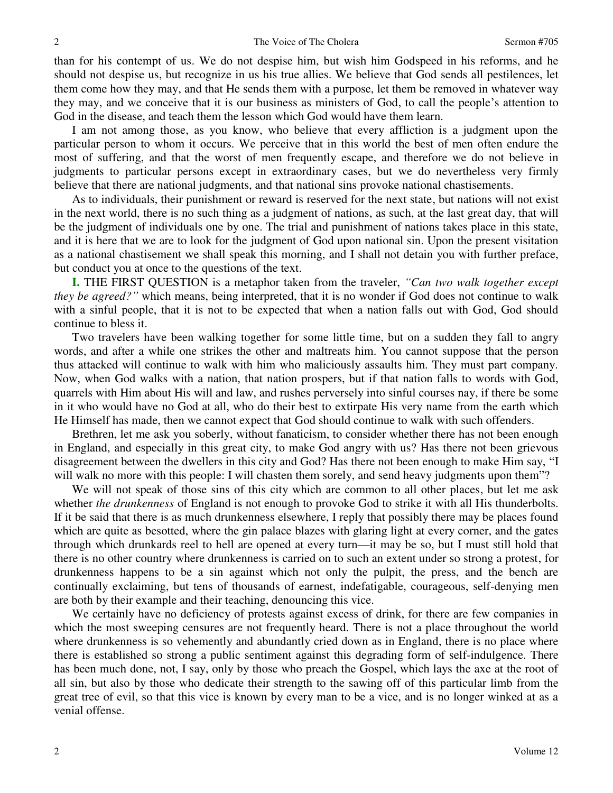than for his contempt of us. We do not despise him, but wish him Godspeed in his reforms, and he should not despise us, but recognize in us his true allies. We believe that God sends all pestilences, let them come how they may, and that He sends them with a purpose, let them be removed in whatever way they may, and we conceive that it is our business as ministers of God, to call the people's attention to God in the disease, and teach them the lesson which God would have them learn.

I am not among those, as you know, who believe that every affliction is a judgment upon the particular person to whom it occurs. We perceive that in this world the best of men often endure the most of suffering, and that the worst of men frequently escape, and therefore we do not believe in judgments to particular persons except in extraordinary cases, but we do nevertheless very firmly believe that there are national judgments, and that national sins provoke national chastisements.

As to individuals, their punishment or reward is reserved for the next state, but nations will not exist in the next world, there is no such thing as a judgment of nations, as such, at the last great day, that will be the judgment of individuals one by one. The trial and punishment of nations takes place in this state, and it is here that we are to look for the judgment of God upon national sin. Upon the present visitation as a national chastisement we shall speak this morning, and I shall not detain you with further preface, but conduct you at once to the questions of the text.

**I.** THE FIRST QUESTION is a metaphor taken from the traveler, *"Can two walk together except they be agreed?*<sup>"</sup> which means, being interpreted, that it is no wonder if God does not continue to walk with a sinful people, that it is not to be expected that when a nation falls out with God, God should continue to bless it.

Two travelers have been walking together for some little time, but on a sudden they fall to angry words, and after a while one strikes the other and maltreats him. You cannot suppose that the person thus attacked will continue to walk with him who maliciously assaults him. They must part company. Now, when God walks with a nation, that nation prospers, but if that nation falls to words with God, quarrels with Him about His will and law, and rushes perversely into sinful courses nay, if there be some in it who would have no God at all, who do their best to extirpate His very name from the earth which He Himself has made, then we cannot expect that God should continue to walk with such offenders.

Brethren, let me ask you soberly, without fanaticism, to consider whether there has not been enough in England, and especially in this great city, to make God angry with us? Has there not been grievous disagreement between the dwellers in this city and God? Has there not been enough to make Him say, "I will walk no more with this people: I will chasten them sorely, and send heavy judgments upon them"?

We will not speak of those sins of this city which are common to all other places, but let me ask whether *the drunkenness* of England is not enough to provoke God to strike it with all His thunderbolts. If it be said that there is as much drunkenness elsewhere, I reply that possibly there may be places found which are quite as besotted, where the gin palace blazes with glaring light at every corner, and the gates through which drunkards reel to hell are opened at every turn—it may be so, but I must still hold that there is no other country where drunkenness is carried on to such an extent under so strong a protest, for drunkenness happens to be a sin against which not only the pulpit, the press, and the bench are continually exclaiming, but tens of thousands of earnest, indefatigable, courageous, self-denying men are both by their example and their teaching, denouncing this vice.

We certainly have no deficiency of protests against excess of drink, for there are few companies in which the most sweeping censures are not frequently heard. There is not a place throughout the world where drunkenness is so vehemently and abundantly cried down as in England, there is no place where there is established so strong a public sentiment against this degrading form of self-indulgence. There has been much done, not, I say, only by those who preach the Gospel, which lays the axe at the root of all sin, but also by those who dedicate their strength to the sawing off of this particular limb from the great tree of evil, so that this vice is known by every man to be a vice, and is no longer winked at as a venial offense.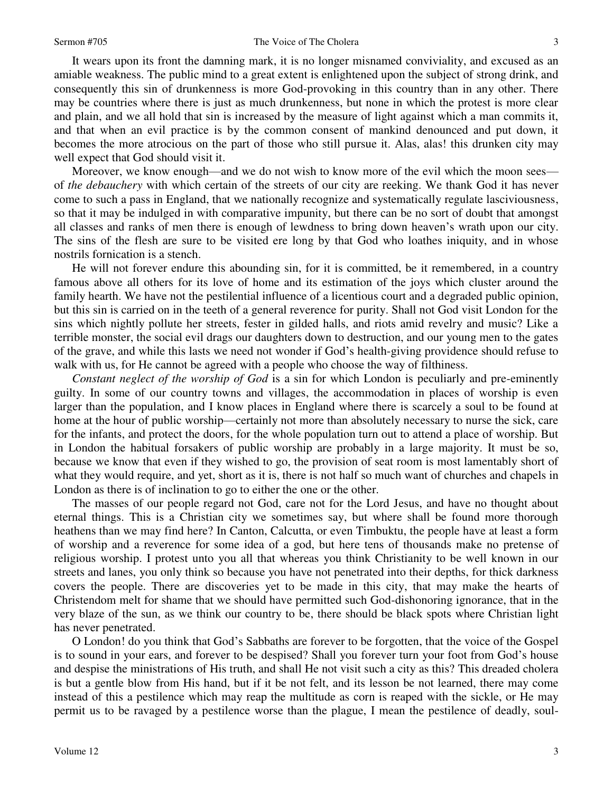It wears upon its front the damning mark, it is no longer misnamed conviviality, and excused as an amiable weakness. The public mind to a great extent is enlightened upon the subject of strong drink, and consequently this sin of drunkenness is more God-provoking in this country than in any other. There may be countries where there is just as much drunkenness, but none in which the protest is more clear and plain, and we all hold that sin is increased by the measure of light against which a man commits it, and that when an evil practice is by the common consent of mankind denounced and put down, it becomes the more atrocious on the part of those who still pursue it. Alas, alas! this drunken city may well expect that God should visit it.

Moreover, we know enough—and we do not wish to know more of the evil which the moon sees of *the debauchery* with which certain of the streets of our city are reeking. We thank God it has never come to such a pass in England, that we nationally recognize and systematically regulate lasciviousness, so that it may be indulged in with comparative impunity, but there can be no sort of doubt that amongst all classes and ranks of men there is enough of lewdness to bring down heaven's wrath upon our city. The sins of the flesh are sure to be visited ere long by that God who loathes iniquity, and in whose nostrils fornication is a stench.

He will not forever endure this abounding sin, for it is committed, be it remembered, in a country famous above all others for its love of home and its estimation of the joys which cluster around the family hearth. We have not the pestilential influence of a licentious court and a degraded public opinion, but this sin is carried on in the teeth of a general reverence for purity. Shall not God visit London for the sins which nightly pollute her streets, fester in gilded halls, and riots amid revelry and music? Like a terrible monster, the social evil drags our daughters down to destruction, and our young men to the gates of the grave, and while this lasts we need not wonder if God's health-giving providence should refuse to walk with us, for He cannot be agreed with a people who choose the way of filthiness.

*Constant neglect of the worship of God* is a sin for which London is peculiarly and pre-eminently guilty. In some of our country towns and villages, the accommodation in places of worship is even larger than the population, and I know places in England where there is scarcely a soul to be found at home at the hour of public worship—certainly not more than absolutely necessary to nurse the sick, care for the infants, and protect the doors, for the whole population turn out to attend a place of worship. But in London the habitual forsakers of public worship are probably in a large majority. It must be so, because we know that even if they wished to go, the provision of seat room is most lamentably short of what they would require, and yet, short as it is, there is not half so much want of churches and chapels in London as there is of inclination to go to either the one or the other.

The masses of our people regard not God, care not for the Lord Jesus, and have no thought about eternal things. This is a Christian city we sometimes say, but where shall be found more thorough heathens than we may find here? In Canton, Calcutta, or even Timbuktu, the people have at least a form of worship and a reverence for some idea of a god, but here tens of thousands make no pretense of religious worship. I protest unto you all that whereas you think Christianity to be well known in our streets and lanes, you only think so because you have not penetrated into their depths, for thick darkness covers the people. There are discoveries yet to be made in this city, that may make the hearts of Christendom melt for shame that we should have permitted such God-dishonoring ignorance, that in the very blaze of the sun, as we think our country to be, there should be black spots where Christian light has never penetrated.

O London! do you think that God's Sabbaths are forever to be forgotten, that the voice of the Gospel is to sound in your ears, and forever to be despised? Shall you forever turn your foot from God's house and despise the ministrations of His truth, and shall He not visit such a city as this? This dreaded cholera is but a gentle blow from His hand, but if it be not felt, and its lesson be not learned, there may come instead of this a pestilence which may reap the multitude as corn is reaped with the sickle, or He may permit us to be ravaged by a pestilence worse than the plague, I mean the pestilence of deadly, soul-

3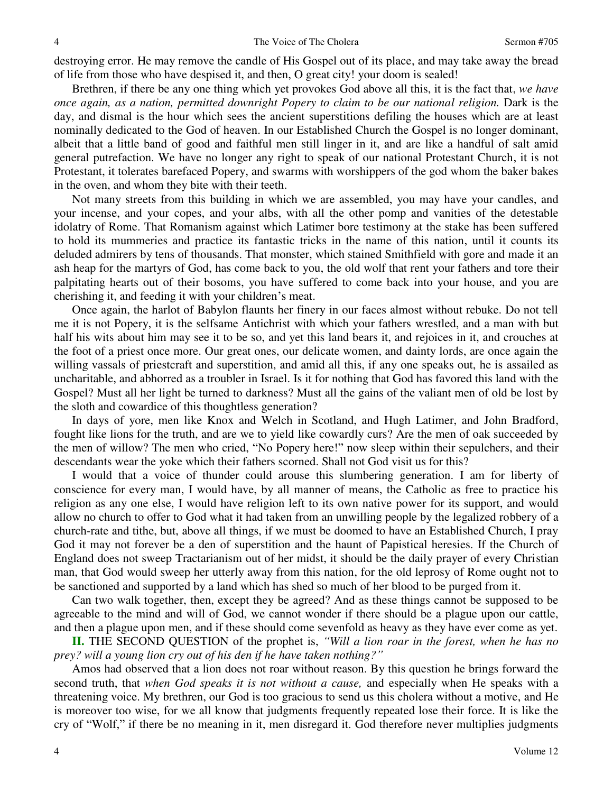destroying error. He may remove the candle of His Gospel out of its place, and may take away the bread of life from those who have despised it, and then, O great city! your doom is sealed!

Brethren, if there be any one thing which yet provokes God above all this, it is the fact that, *we have once again, as a nation, permitted downright Popery to claim to be our national religion.* Dark is the day, and dismal is the hour which sees the ancient superstitions defiling the houses which are at least nominally dedicated to the God of heaven. In our Established Church the Gospel is no longer dominant, albeit that a little band of good and faithful men still linger in it, and are like a handful of salt amid general putrefaction. We have no longer any right to speak of our national Protestant Church, it is not Protestant, it tolerates barefaced Popery, and swarms with worshippers of the god whom the baker bakes in the oven, and whom they bite with their teeth.

Not many streets from this building in which we are assembled, you may have your candles, and your incense, and your copes, and your albs, with all the other pomp and vanities of the detestable idolatry of Rome. That Romanism against which Latimer bore testimony at the stake has been suffered to hold its mummeries and practice its fantastic tricks in the name of this nation, until it counts its deluded admirers by tens of thousands. That monster, which stained Smithfield with gore and made it an ash heap for the martyrs of God, has come back to you, the old wolf that rent your fathers and tore their palpitating hearts out of their bosoms, you have suffered to come back into your house, and you are cherishing it, and feeding it with your children's meat.

Once again, the harlot of Babylon flaunts her finery in our faces almost without rebuke. Do not tell me it is not Popery, it is the selfsame Antichrist with which your fathers wrestled, and a man with but half his wits about him may see it to be so, and yet this land bears it, and rejoices in it, and crouches at the foot of a priest once more. Our great ones, our delicate women, and dainty lords, are once again the willing vassals of priestcraft and superstition, and amid all this, if any one speaks out, he is assailed as uncharitable, and abhorred as a troubler in Israel. Is it for nothing that God has favored this land with the Gospel? Must all her light be turned to darkness? Must all the gains of the valiant men of old be lost by the sloth and cowardice of this thoughtless generation?

In days of yore, men like Knox and Welch in Scotland, and Hugh Latimer, and John Bradford, fought like lions for the truth, and are we to yield like cowardly curs? Are the men of oak succeeded by the men of willow? The men who cried, "No Popery here!" now sleep within their sepulchers, and their descendants wear the yoke which their fathers scorned. Shall not God visit us for this?

I would that a voice of thunder could arouse this slumbering generation. I am for liberty of conscience for every man, I would have, by all manner of means, the Catholic as free to practice his religion as any one else, I would have religion left to its own native power for its support, and would allow no church to offer to God what it had taken from an unwilling people by the legalized robbery of a church-rate and tithe, but, above all things, if we must be doomed to have an Established Church, I pray God it may not forever be a den of superstition and the haunt of Papistical heresies. If the Church of England does not sweep Tractarianism out of her midst, it should be the daily prayer of every Christian man, that God would sweep her utterly away from this nation, for the old leprosy of Rome ought not to be sanctioned and supported by a land which has shed so much of her blood to be purged from it.

Can two walk together, then, except they be agreed? And as these things cannot be supposed to be agreeable to the mind and will of God, we cannot wonder if there should be a plague upon our cattle, and then a plague upon men, and if these should come sevenfold as heavy as they have ever come as yet.

**II.** THE SECOND QUESTION of the prophet is, *"Will a lion roar in the forest, when he has no prey? will a young lion cry out of his den if he have taken nothing?"*

Amos had observed that a lion does not roar without reason. By this question he brings forward the second truth, that *when God speaks it is not without a cause,* and especially when He speaks with a threatening voice. My brethren, our God is too gracious to send us this cholera without a motive, and He is moreover too wise, for we all know that judgments frequently repeated lose their force. It is like the cry of "Wolf," if there be no meaning in it, men disregard it. God therefore never multiplies judgments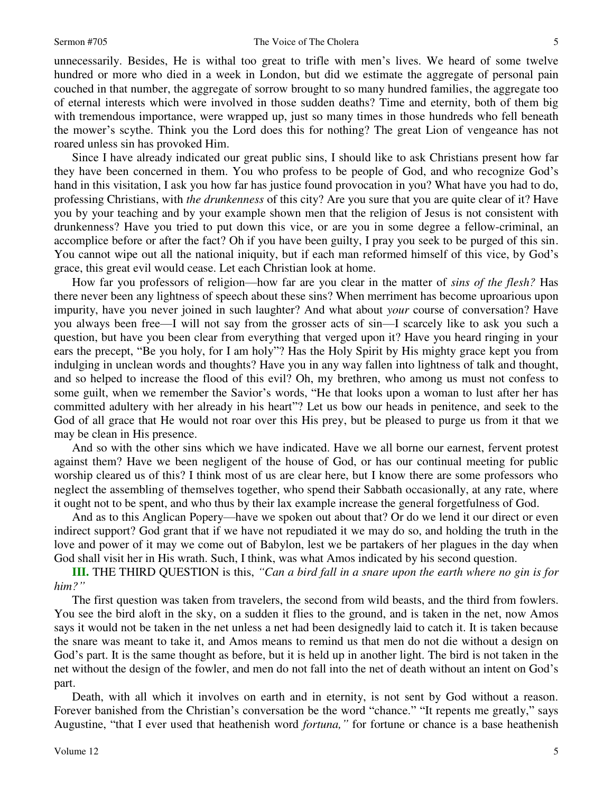unnecessarily. Besides, He is withal too great to trifle with men's lives. We heard of some twelve hundred or more who died in a week in London, but did we estimate the aggregate of personal pain couched in that number, the aggregate of sorrow brought to so many hundred families, the aggregate too of eternal interests which were involved in those sudden deaths? Time and eternity, both of them big with tremendous importance, were wrapped up, just so many times in those hundreds who fell beneath the mower's scythe. Think you the Lord does this for nothing? The great Lion of vengeance has not roared unless sin has provoked Him.

Since I have already indicated our great public sins, I should like to ask Christians present how far they have been concerned in them. You who profess to be people of God, and who recognize God's hand in this visitation, I ask you how far has justice found provocation in you? What have you had to do, professing Christians, with *the drunkenness* of this city? Are you sure that you are quite clear of it? Have you by your teaching and by your example shown men that the religion of Jesus is not consistent with drunkenness? Have you tried to put down this vice, or are you in some degree a fellow-criminal, an accomplice before or after the fact? Oh if you have been guilty, I pray you seek to be purged of this sin. You cannot wipe out all the national iniquity, but if each man reformed himself of this vice, by God's grace, this great evil would cease. Let each Christian look at home.

How far you professors of religion—how far are you clear in the matter of *sins of the flesh?* Has there never been any lightness of speech about these sins? When merriment has become uproarious upon impurity, have you never joined in such laughter? And what about *your* course of conversation? Have you always been free—I will not say from the grosser acts of sin—I scarcely like to ask you such a question, but have you been clear from everything that verged upon it? Have you heard ringing in your ears the precept, "Be you holy, for I am holy"? Has the Holy Spirit by His mighty grace kept you from indulging in unclean words and thoughts? Have you in any way fallen into lightness of talk and thought, and so helped to increase the flood of this evil? Oh, my brethren, who among us must not confess to some guilt, when we remember the Savior's words, "He that looks upon a woman to lust after her has committed adultery with her already in his heart"? Let us bow our heads in penitence, and seek to the God of all grace that He would not roar over this His prey, but be pleased to purge us from it that we may be clean in His presence.

And so with the other sins which we have indicated. Have we all borne our earnest, fervent protest against them? Have we been negligent of the house of God, or has our continual meeting for public worship cleared us of this? I think most of us are clear here, but I know there are some professors who neglect the assembling of themselves together, who spend their Sabbath occasionally, at any rate, where it ought not to be spent, and who thus by their lax example increase the general forgetfulness of God.

And as to this Anglican Popery—have we spoken out about that? Or do we lend it our direct or even indirect support? God grant that if we have not repudiated it we may do so, and holding the truth in the love and power of it may we come out of Babylon, lest we be partakers of her plagues in the day when God shall visit her in His wrath. Such, I think, was what Amos indicated by his second question.

**III.** THE THIRD QUESTION is this, *"Can a bird fall in a snare upon the earth where no gin is for him?"*

The first question was taken from travelers, the second from wild beasts, and the third from fowlers. You see the bird aloft in the sky, on a sudden it flies to the ground, and is taken in the net, now Amos says it would not be taken in the net unless a net had been designedly laid to catch it. It is taken because the snare was meant to take it, and Amos means to remind us that men do not die without a design on God's part. It is the same thought as before, but it is held up in another light. The bird is not taken in the net without the design of the fowler, and men do not fall into the net of death without an intent on God's part.

Death, with all which it involves on earth and in eternity, is not sent by God without a reason. Forever banished from the Christian's conversation be the word "chance." "It repents me greatly," says Augustine, "that I ever used that heathenish word *fortuna,"* for fortune or chance is a base heathenish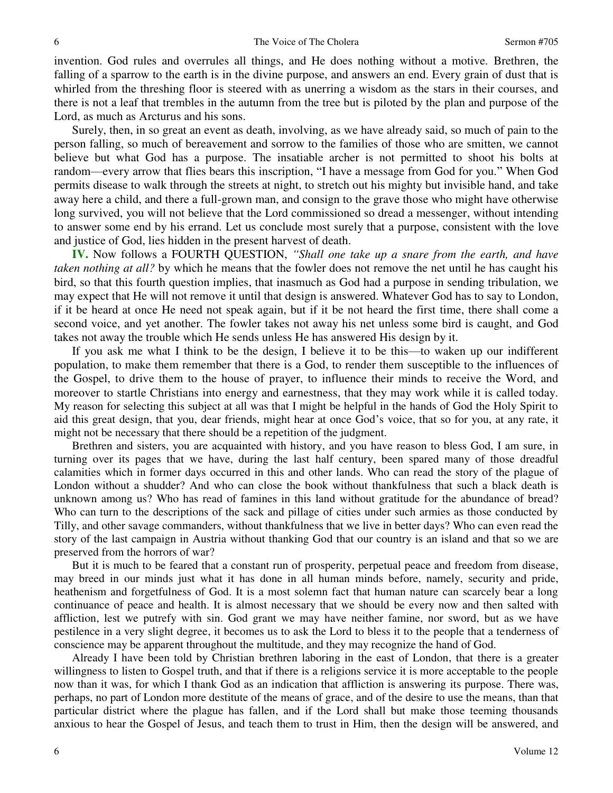invention. God rules and overrules all things, and He does nothing without a motive*.* Brethren, the falling of a sparrow to the earth is in the divine purpose, and answers an end. Every grain of dust that is whirled from the threshing floor is steered with as unerring a wisdom as the stars in their courses, and there is not a leaf that trembles in the autumn from the tree but is piloted by the plan and purpose of the Lord, as much as Arcturus and his sons.

Surely, then, in so great an event as death, involving, as we have already said, so much of pain to the person falling, so much of bereavement and sorrow to the families of those who are smitten, we cannot believe but what God has a purpose. The insatiable archer is not permitted to shoot his bolts at random—every arrow that flies bears this inscription, "I have a message from God for you." When God permits disease to walk through the streets at night, to stretch out his mighty but invisible hand, and take away here a child, and there a full-grown man, and consign to the grave those who might have otherwise long survived, you will not believe that the Lord commissioned so dread a messenger, without intending to answer some end by his errand. Let us conclude most surely that a purpose, consistent with the love and justice of God, lies hidden in the present harvest of death.

**IV.** Now follows a FOURTH QUESTION, *"Shall one take up a snare from the earth, and have taken nothing at all?* by which he means that the fowler does not remove the net until he has caught his bird, so that this fourth question implies, that inasmuch as God had a purpose in sending tribulation, we may expect that He will not remove it until that design is answered. Whatever God has to say to London, if it be heard at once He need not speak again, but if it be not heard the first time, there shall come a second voice, and yet another. The fowler takes not away his net unless some bird is caught, and God takes not away the trouble which He sends unless He has answered His design by it.

If you ask me what I think to be the design, I believe it to be this—to waken up our indifferent population, to make them remember that there is a God, to render them susceptible to the influences of the Gospel, to drive them to the house of prayer, to influence their minds to receive the Word, and moreover to startle Christians into energy and earnestness, that they may work while it is called today. My reason for selecting this subject at all was that I might be helpful in the hands of God the Holy Spirit to aid this great design, that you, dear friends, might hear at once God's voice, that so for you, at any rate, it might not be necessary that there should be a repetition of the judgment.

Brethren and sisters, you are acquainted with history, and you have reason to bless God, I am sure, in turning over its pages that we have, during the last half century, been spared many of those dreadful calamities which in former days occurred in this and other lands. Who can read the story of the plague of London without a shudder? And who can close the book without thankfulness that such a black death is unknown among us? Who has read of famines in this land without gratitude for the abundance of bread? Who can turn to the descriptions of the sack and pillage of cities under such armies as those conducted by Tilly, and other savage commanders, without thankfulness that we live in better days? Who can even read the story of the last campaign in Austria without thanking God that our country is an island and that so we are preserved from the horrors of war?

But it is much to be feared that a constant run of prosperity, perpetual peace and freedom from disease, may breed in our minds just what it has done in all human minds before, namely, security and pride, heathenism and forgetfulness of God. It is a most solemn fact that human nature can scarcely bear a long continuance of peace and health. It is almost necessary that we should be every now and then salted with affliction, lest we putrefy with sin. God grant we may have neither famine, nor sword, but as we have pestilence in a very slight degree, it becomes us to ask the Lord to bless it to the people that a tenderness of conscience may be apparent throughout the multitude, and they may recognize the hand of God.

Already I have been told by Christian brethren laboring in the east of London, that there is a greater willingness to listen to Gospel truth, and that if there is a religions service it is more acceptable to the people now than it was, for which I thank God as an indication that affliction is answering its purpose. There was, perhaps, no part of London more destitute of the means of grace, and of the desire to use the means, than that particular district where the plague has fallen, and if the Lord shall but make those teeming thousands anxious to hear the Gospel of Jesus, and teach them to trust in Him, then the design will be answered, and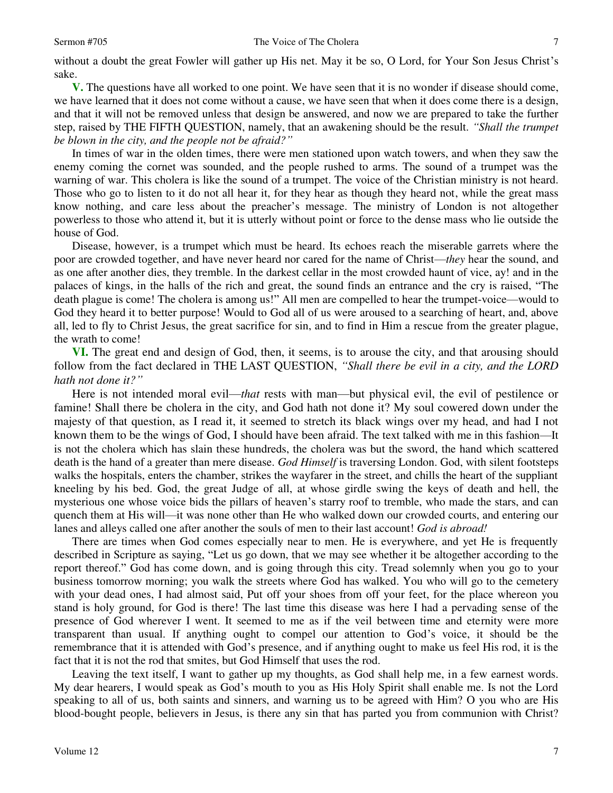without a doubt the great Fowler will gather up His net. May it be so, O Lord, for Your Son Jesus Christ's sake.

**V.** The questions have all worked to one point. We have seen that it is no wonder if disease should come, we have learned that it does not come without a cause, we have seen that when it does come there is a design, and that it will not be removed unless that design be answered, and now we are prepared to take the further step, raised by THE FIFTH QUESTION, namely, that an awakening should be the result. *"Shall the trumpet be blown in the city, and the people not be afraid?"*

In times of war in the olden times, there were men stationed upon watch towers, and when they saw the enemy coming the cornet was sounded, and the people rushed to arms. The sound of a trumpet was the warning of war. This cholera is like the sound of a trumpet. The voice of the Christian ministry is not heard. Those who go to listen to it do not all hear it, for they hear as though they heard not, while the great mass know nothing, and care less about the preacher's message. The ministry of London is not altogether powerless to those who attend it, but it is utterly without point or force to the dense mass who lie outside the house of God.

Disease, however, is a trumpet which must be heard. Its echoes reach the miserable garrets where the poor are crowded together, and have never heard nor cared for the name of Christ—*they* hear the sound, and as one after another dies, they tremble. In the darkest cellar in the most crowded haunt of vice, ay! and in the palaces of kings, in the halls of the rich and great, the sound finds an entrance and the cry is raised, "The death plague is come! The cholera is among us!" All men are compelled to hear the trumpet-voice—would to God they heard it to better purpose! Would to God all of us were aroused to a searching of heart, and, above all, led to fly to Christ Jesus, the great sacrifice for sin, and to find in Him a rescue from the greater plague, the wrath to come!

**VI.** The great end and design of God, then, it seems, is to arouse the city, and that arousing should follow from the fact declared in THE LAST QUESTION, *"Shall there be evil in a city, and the LORD hath not done it?"*

Here is not intended moral evil—*that* rests with man—but physical evil, the evil of pestilence or famine! Shall there be cholera in the city, and God hath not done it? My soul cowered down under the majesty of that question, as I read it, it seemed to stretch its black wings over my head, and had I not known them to be the wings of God, I should have been afraid. The text talked with me in this fashion—It is not the cholera which has slain these hundreds, the cholera was but the sword, the hand which scattered death is the hand of a greater than mere disease. *God Himself* is traversing London. God, with silent footsteps walks the hospitals, enters the chamber, strikes the wayfarer in the street, and chills the heart of the suppliant kneeling by his bed. God, the great Judge of all, at whose girdle swing the keys of death and hell, the mysterious one whose voice bids the pillars of heaven's starry roof to tremble, who made the stars, and can quench them at His will—it was none other than He who walked down our crowded courts, and entering our lanes and alleys called one after another the souls of men to their last account! *God is abroad!* 

There are times when God comes especially near to men. He is everywhere, and yet He is frequently described in Scripture as saying, "Let us go down, that we may see whether it be altogether according to the report thereof." God has come down, and is going through this city. Tread solemnly when you go to your business tomorrow morning; you walk the streets where God has walked. You who will go to the cemetery with your dead ones, I had almost said, Put off your shoes from off your feet, for the place whereon you stand is holy ground, for God is there! The last time this disease was here I had a pervading sense of the presence of God wherever I went. It seemed to me as if the veil between time and eternity were more transparent than usual. If anything ought to compel our attention to God's voice, it should be the remembrance that it is attended with God's presence, and if anything ought to make us feel His rod, it is the fact that it is not the rod that smites, but God Himself that uses the rod.

Leaving the text itself, I want to gather up my thoughts, as God shall help me, in a few earnest words. My dear hearers, I would speak as God's mouth to you as His Holy Spirit shall enable me. Is not the Lord speaking to all of us, both saints and sinners, and warning us to be agreed with Him? O you who are His blood-bought people, believers in Jesus, is there any sin that has parted you from communion with Christ?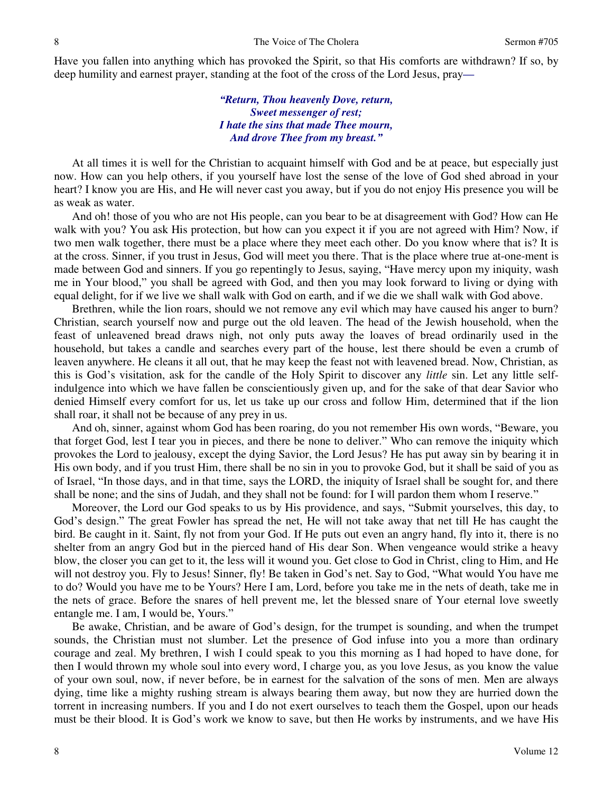Have you fallen into anything which has provoked the Spirit, so that His comforts are withdrawn? If so, by deep humility and earnest prayer, standing at the foot of the cross of the Lord Jesus, pray*—*

> *"Return, Thou heavenly Dove, return, Sweet messenger of rest; I hate the sins that made Thee mourn, And drove Thee from my breast."*

At all times it is well for the Christian to acquaint himself with God and be at peace, but especially just now. How can you help others, if you yourself have lost the sense of the love of God shed abroad in your heart? I know you are His, and He will never cast you away, but if you do not enjoy His presence you will be as weak as water.

And oh! those of you who are not His people, can you bear to be at disagreement with God? How can He walk with you? You ask His protection, but how can you expect it if you are not agreed with Him? Now, if two men walk together, there must be a place where they meet each other. Do you know where that is? It is at the cross. Sinner, if you trust in Jesus, God will meet you there. That is the place where true at-one-ment is made between God and sinners. If you go repentingly to Jesus, saying, "Have mercy upon my iniquity, wash me in Your blood," you shall be agreed with God, and then you may look forward to living or dying with equal delight, for if we live we shall walk with God on earth, and if we die we shall walk with God above.

Brethren, while the lion roars, should we not remove any evil which may have caused his anger to burn? Christian, search yourself now and purge out the old leaven. The head of the Jewish household, when the feast of unleavened bread draws nigh, not only puts away the loaves of bread ordinarily used in the household, but takes a candle and searches every part of the house, lest there should be even a crumb of leaven anywhere. He cleans it all out, that he may keep the feast not with leavened bread. Now, Christian, as this is God's visitation, ask for the candle of the Holy Spirit to discover any *little* sin. Let any little selfindulgence into which we have fallen be conscientiously given up, and for the sake of that dear Savior who denied Himself every comfort for us, let us take up our cross and follow Him, determined that if the lion shall roar, it shall not be because of any prey in us.

And oh, sinner, against whom God has been roaring, do you not remember His own words, "Beware, you that forget God, lest I tear you in pieces, and there be none to deliver." Who can remove the iniquity which provokes the Lord to jealousy, except the dying Savior, the Lord Jesus? He has put away sin by bearing it in His own body, and if you trust Him, there shall be no sin in you to provoke God, but it shall be said of you as of Israel, "In those days, and in that time, says the LORD, the iniquity of Israel shall be sought for, and there shall be none; and the sins of Judah, and they shall not be found: for I will pardon them whom I reserve."

Moreover, the Lord our God speaks to us by His providence, and says, "Submit yourselves, this day, to God's design." The great Fowler has spread the net, He will not take away that net till He has caught the bird. Be caught in it. Saint, fly not from your God. If He puts out even an angry hand, fly into it, there is no shelter from an angry God but in the pierced hand of His dear Son. When vengeance would strike a heavy blow, the closer you can get to it, the less will it wound you. Get close to God in Christ, cling to Him, and He will not destroy you. Fly to Jesus! Sinner, fly! Be taken in God's net. Say to God, "What would You have me to do? Would you have me to be Yours? Here I am, Lord, before you take me in the nets of death, take me in the nets of grace. Before the snares of hell prevent me, let the blessed snare of Your eternal love sweetly entangle me. I am, I would be, Yours."

Be awake, Christian, and be aware of God's design, for the trumpet is sounding, and when the trumpet sounds, the Christian must not slumber. Let the presence of God infuse into you a more than ordinary courage and zeal. My brethren, I wish I could speak to you this morning as I had hoped to have done, for then I would thrown my whole soul into every word, I charge you, as you love Jesus, as you know the value of your own soul, now, if never before, be in earnest for the salvation of the sons of men. Men are always dying, time like a mighty rushing stream is always bearing them away, but now they are hurried down the torrent in increasing numbers. If you and I do not exert ourselves to teach them the Gospel, upon our heads must be their blood. It is God's work we know to save, but then He works by instruments, and we have His